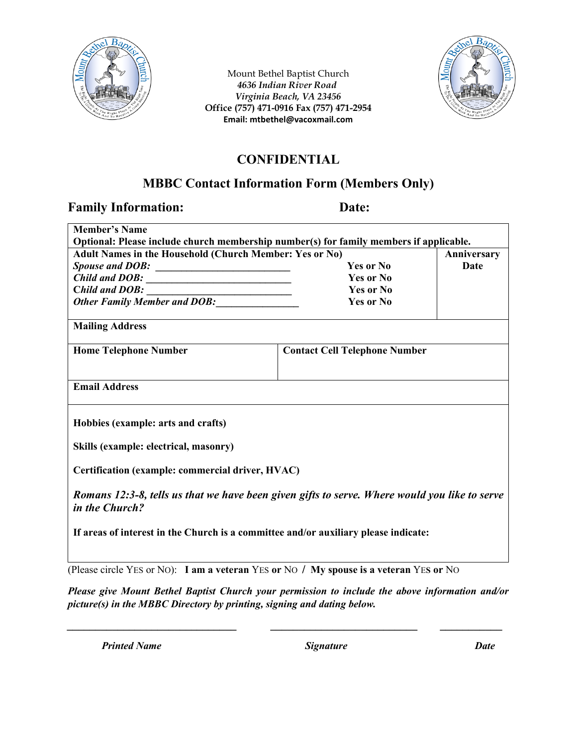

Mount Bethel Baptist Church *4636 Indian River Road Virginia Beach, VA 23456* **Office (757) 471-0916 Fax (757) 471-2954 Email: mtbethel@vacoxmail.com** 



# **CONFIDENTIAL**

# **MBBC Contact Information Form (Members Only)**

### **Family Information: Date:**

| <b>Member's Name</b>                                                                                            |                                      |             |  |  |
|-----------------------------------------------------------------------------------------------------------------|--------------------------------------|-------------|--|--|
| Optional: Please include church membership number(s) for family members if applicable.                          |                                      |             |  |  |
| Adult Names in the Household (Church Member: Yes or No)                                                         |                                      | Anniversary |  |  |
|                                                                                                                 | Yes or No                            | <b>Date</b> |  |  |
| $\hat{C}$ <i>hild and DOB</i> :                                                                                 | Yes or No                            |             |  |  |
|                                                                                                                 | <b>Yes or No</b>                     |             |  |  |
| Child and DOB:<br>Other Family Member and DOB:                                                                  | <b>Yes or No</b>                     |             |  |  |
| <b>Mailing Address</b>                                                                                          |                                      |             |  |  |
| <b>Home Telephone Number</b>                                                                                    | <b>Contact Cell Telephone Number</b> |             |  |  |
|                                                                                                                 |                                      |             |  |  |
| <b>Email Address</b>                                                                                            |                                      |             |  |  |
|                                                                                                                 |                                      |             |  |  |
| Hobbies (example: arts and crafts)                                                                              |                                      |             |  |  |
| Skills (example: electrical, masonry)                                                                           |                                      |             |  |  |
| Certification (example: commercial driver, HVAC)                                                                |                                      |             |  |  |
| Romans 12:3-8, tells us that we have been given gifts to serve. Where would you like to serve<br>in the Church? |                                      |             |  |  |
| If areas of interest in the Church is a committee and/or auxiliary please indicate:                             |                                      |             |  |  |
|                                                                                                                 |                                      |             |  |  |

(Please circle YES or NO): **I am a veteran** YES **or** NO **/ My spouse is a veteran** YE**S or** NO

*Please give Mount Bethel Baptist Church your permission to include the above information and/or picture(s) in the MBBC Directory by printing, signing and dating below.*

*\_\_\_\_\_\_\_\_\_\_\_\_\_\_\_\_\_\_\_\_\_\_\_\_\_\_\_\_\_\_ \_\_\_\_\_\_\_\_\_\_\_\_\_\_\_\_\_\_\_\_\_\_\_\_\_\_ \_\_\_\_\_\_\_\_\_\_\_*

*Printed Name Signature Date*